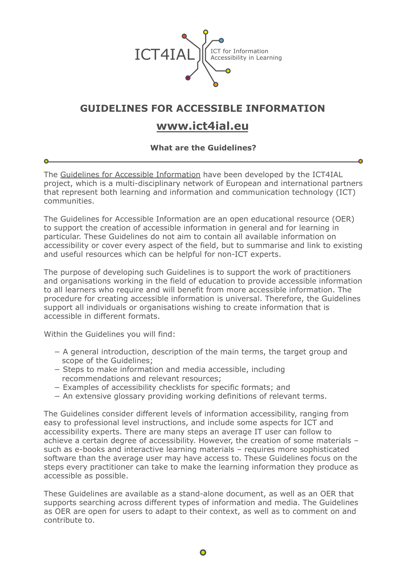

## **GUIDELINES FOR ACCESSIBLE INFORMATION**

## **www.ict4ial.eu**

## **What are the Guidelines?**

The [Guidelines for Accessible Information](http://www.ict4ial.eu/guidelines-accessible-information) have been developed by the ICT4IAL project, which is a multi-disciplinary network of European and international partners that represent both learning and information and communication technology (ICT) communities.

The Guidelines for Accessible Information are an open educational resource (OER) to support the creation of accessible information in general and for learning in particular. These Guidelines do not aim to contain all available information on accessibility or cover every aspect of the field, but to summarise and link to existing and useful resources which can be helpful for non-ICT experts.

The purpose of developing such Guidelines is to support the work of practitioners and organisations working in the field of education to provide accessible information to all learners who require and will benefit from more accessible information. The procedure for creating accessible information is universal. Therefore, the Guidelines support all individuals or organisations wishing to create information that is accessible in different formats.

Within the Guidelines you will find:

- − A general introduction, description of the main terms, the target group and scope of the Guidelines;
- − Steps to make information and media accessible, including recommendations and relevant resources;
- − Examples of accessibility checklists for specific formats; and
- − An extensive glossary providing working definitions of relevant terms.

The Guidelines consider different levels of information accessibility, ranging from easy to professional level instructions, and include some aspects for ICT and accessibility experts. There are many steps an average IT user can follow to achieve a certain degree of accessibility. However, the creation of some materials – such as e-books and interactive learning materials – requires more sophisticated software than the average user may have access to. These Guidelines focus on the steps every practitioner can take to make the learning information they produce as accessible as possible.

These Guidelines are available as a stand-alone document, as well as an OER that supports searching across different types of information and media. The Guidelines as OER are open for users to adapt to their context, as well as to comment on and contribute to.